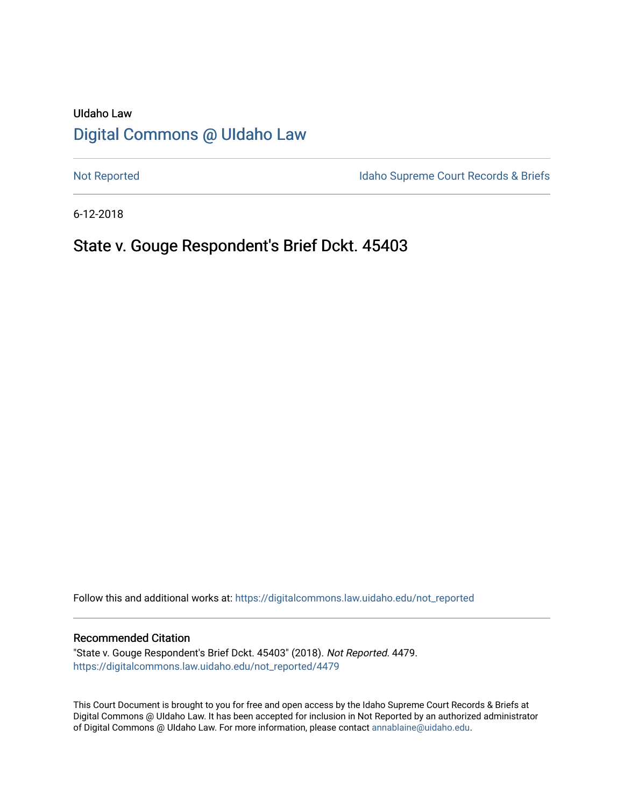# UIdaho Law [Digital Commons @ UIdaho Law](https://digitalcommons.law.uidaho.edu/)

[Not Reported](https://digitalcommons.law.uidaho.edu/not_reported) **Idaho Supreme Court Records & Briefs** 

6-12-2018

# State v. Gouge Respondent's Brief Dckt. 45403

Follow this and additional works at: [https://digitalcommons.law.uidaho.edu/not\\_reported](https://digitalcommons.law.uidaho.edu/not_reported?utm_source=digitalcommons.law.uidaho.edu%2Fnot_reported%2F4479&utm_medium=PDF&utm_campaign=PDFCoverPages) 

#### Recommended Citation

"State v. Gouge Respondent's Brief Dckt. 45403" (2018). Not Reported. 4479. [https://digitalcommons.law.uidaho.edu/not\\_reported/4479](https://digitalcommons.law.uidaho.edu/not_reported/4479?utm_source=digitalcommons.law.uidaho.edu%2Fnot_reported%2F4479&utm_medium=PDF&utm_campaign=PDFCoverPages)

This Court Document is brought to you for free and open access by the Idaho Supreme Court Records & Briefs at Digital Commons @ UIdaho Law. It has been accepted for inclusion in Not Reported by an authorized administrator of Digital Commons @ UIdaho Law. For more information, please contact [annablaine@uidaho.edu](mailto:annablaine@uidaho.edu).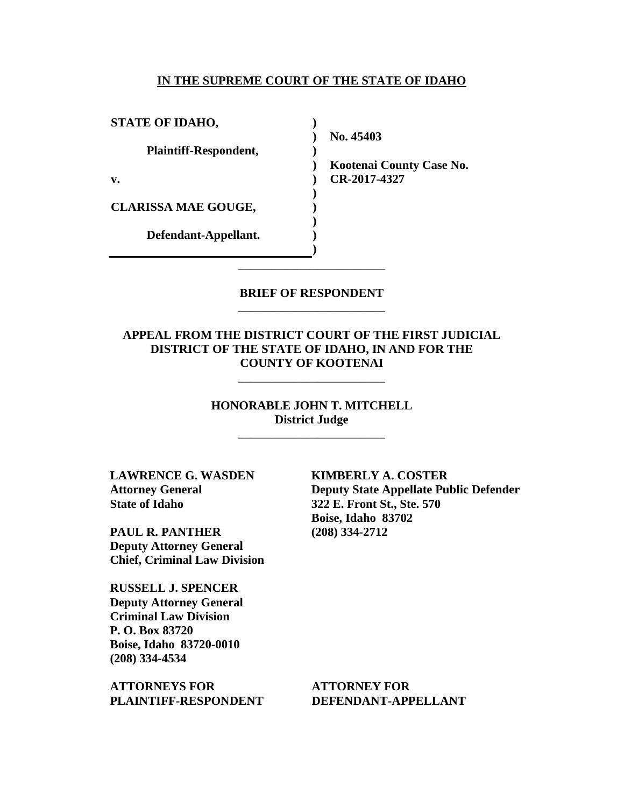#### **IN THE SUPREME COURT OF THE STATE OF IDAHO**

**)**

**)**

**) ) ) ) ) )**

**STATE OF IDAHO, Plaintiff-Respondent, v. CLARISSA MAE GOUGE, Defendant-Appellant.** \_\_\_\_\_\_\_\_\_\_\_\_\_\_\_\_\_\_\_\_\_\_\_\_

**) No. 45403** 

**) Kootenai County Case No. CR-2017-4327** 

### **BRIEF OF RESPONDENT** \_\_\_\_\_\_\_\_\_\_\_\_\_\_\_\_\_\_\_\_\_\_\_\_

**APPEAL FROM THE DISTRICT COURT OF THE FIRST JUDICIAL DISTRICT OF THE STATE OF IDAHO, IN AND FOR THE COUNTY OF KOOTENAI**

\_\_\_\_\_\_\_\_\_\_\_\_\_\_\_\_\_\_\_\_\_\_\_\_

**HONORABLE JOHN T. MITCHELL District Judge**

\_\_\_\_\_\_\_\_\_\_\_\_\_\_\_\_\_\_\_\_\_\_\_\_

**LAWRENCE G. WASDEN Attorney General State of Idaho**

**PAUL R. PANTHER Deputy Attorney General Chief, Criminal Law Division**

**RUSSELL J. SPENCER Deputy Attorney General Criminal Law Division P. O. Box 83720 Boise, Idaho 83720-0010 (208) 334-4534** 

**ATTORNEYS FOR PLAINTIFF-RESPONDENT** **KIMBERLY A. COSTER Deputy State Appellate Public Defender 322 E. Front St., Ste. 570 Boise, Idaho 83702 (208) 334-2712** 

**ATTORNEY FOR DEFENDANT-APPELLANT**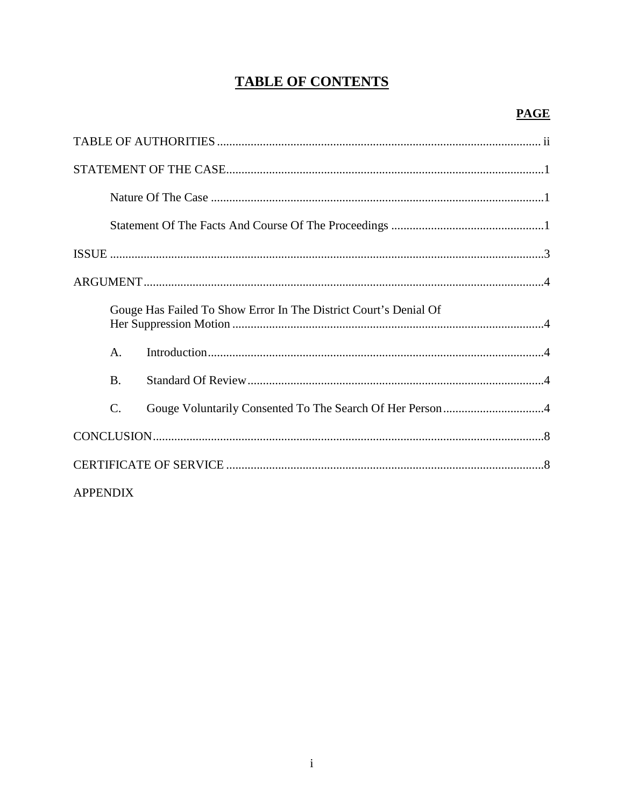# **TABLE OF CONTENTS**

|                 | Gouge Has Failed To Show Error In The District Court's Denial Of |  |
|-----------------|------------------------------------------------------------------|--|
| $\mathsf{A}$ .  |                                                                  |  |
| <b>B.</b>       |                                                                  |  |
| $\mathcal{C}$ . |                                                                  |  |
|                 |                                                                  |  |
|                 |                                                                  |  |
| <b>APPENDIX</b> |                                                                  |  |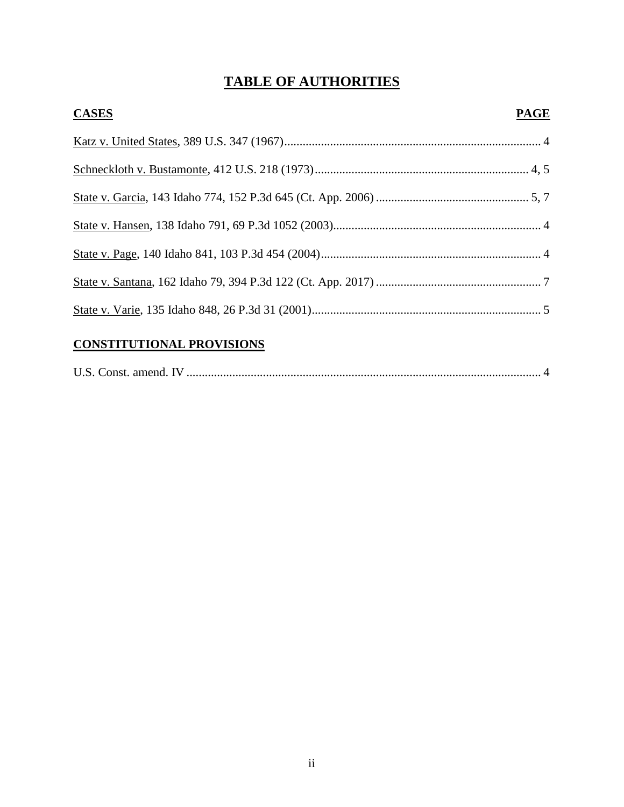# **TABLE OF AUTHORITIES**

| <b>CASES</b> | <b>PAGE</b> |
|--------------|-------------|
|              |             |
|              |             |
|              |             |
|              |             |
|              |             |
|              |             |
|              |             |
|              |             |

## **CONSTITUTIONAL PROVISIONS**

| U.S. Const. amend. IV |  |  |
|-----------------------|--|--|
|-----------------------|--|--|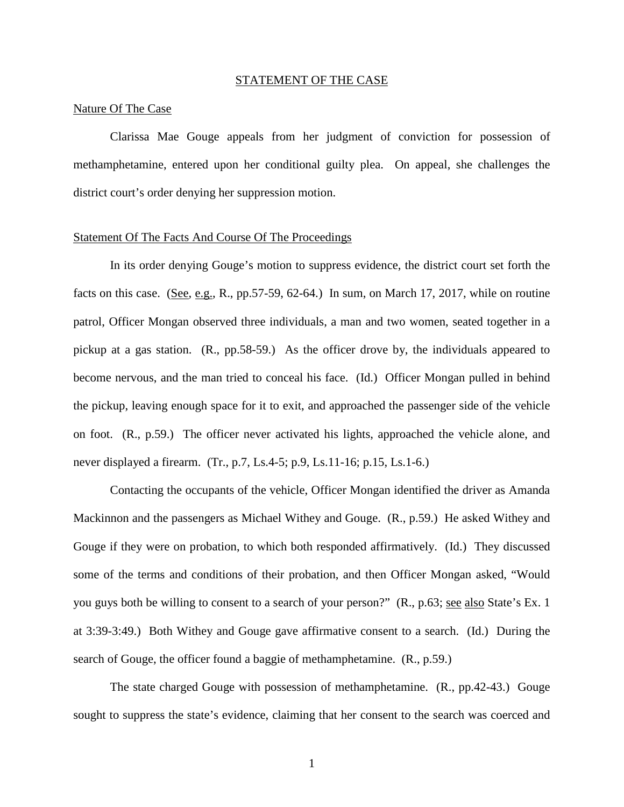#### STATEMENT OF THE CASE

#### Nature Of The Case

Clarissa Mae Gouge appeals from her judgment of conviction for possession of methamphetamine, entered upon her conditional guilty plea. On appeal, she challenges the district court's order denying her suppression motion.

#### Statement Of The Facts And Course Of The Proceedings

In its order denying Gouge's motion to suppress evidence, the district court set forth the facts on this case. (See, e.g., R., pp.57-59, 62-64.) In sum, on March 17, 2017, while on routine patrol, Officer Mongan observed three individuals, a man and two women, seated together in a pickup at a gas station. (R., pp.58-59.) As the officer drove by, the individuals appeared to become nervous, and the man tried to conceal his face. (Id.) Officer Mongan pulled in behind the pickup, leaving enough space for it to exit, and approached the passenger side of the vehicle on foot. (R., p.59.) The officer never activated his lights, approached the vehicle alone, and never displayed a firearm. (Tr., p.7, Ls.4-5; p.9, Ls.11-16; p.15, Ls.1-6.)

Contacting the occupants of the vehicle, Officer Mongan identified the driver as Amanda Mackinnon and the passengers as Michael Withey and Gouge. (R., p.59.) He asked Withey and Gouge if they were on probation, to which both responded affirmatively. (Id.) They discussed some of the terms and conditions of their probation, and then Officer Mongan asked, "Would you guys both be willing to consent to a search of your person?" (R., p.63; see also State's Ex. 1) at 3:39-3:49.) Both Withey and Gouge gave affirmative consent to a search. (Id.) During the search of Gouge, the officer found a baggie of methamphetamine. (R., p.59.)

The state charged Gouge with possession of methamphetamine. (R., pp.42-43.) Gouge sought to suppress the state's evidence, claiming that her consent to the search was coerced and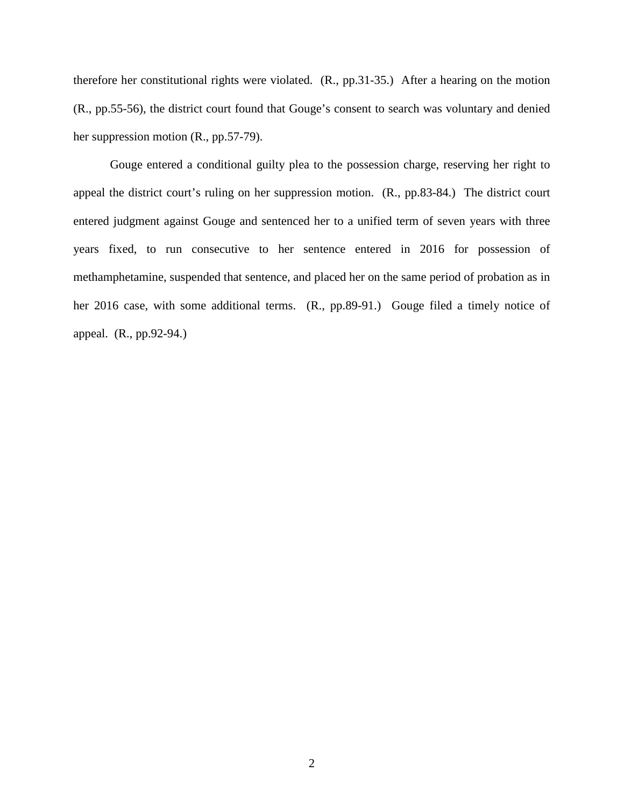therefore her constitutional rights were violated. (R., pp.31-35.) After a hearing on the motion (R., pp.55-56), the district court found that Gouge's consent to search was voluntary and denied her suppression motion (R., pp.57-79).

Gouge entered a conditional guilty plea to the possession charge, reserving her right to appeal the district court's ruling on her suppression motion. (R., pp.83-84.) The district court entered judgment against Gouge and sentenced her to a unified term of seven years with three years fixed, to run consecutive to her sentence entered in 2016 for possession of methamphetamine, suspended that sentence, and placed her on the same period of probation as in her 2016 case, with some additional terms. (R., pp.89-91.) Gouge filed a timely notice of appeal. (R., pp.92-94.)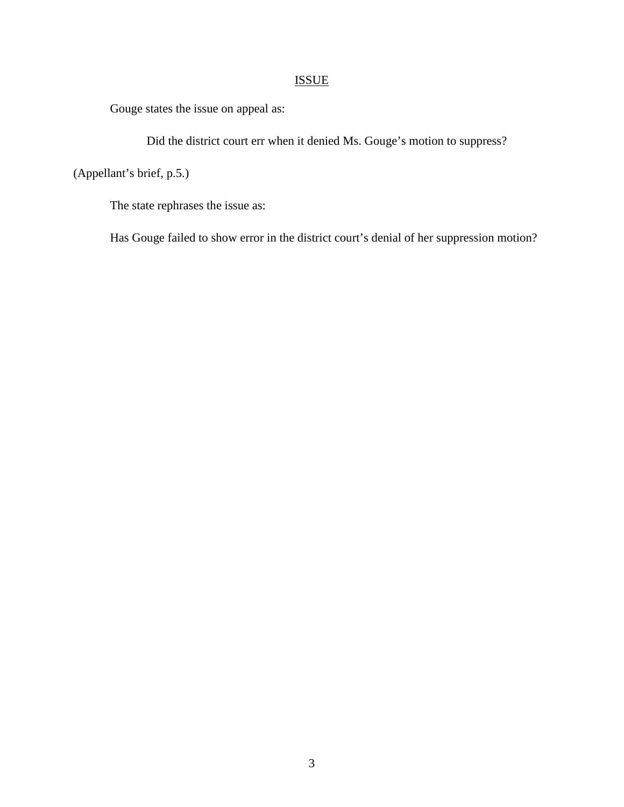## ISSUE

Gouge states the issue on appeal as:

Did the district court err when it denied Ms. Gouge's motion to suppress?

(Appellant's brief, p.5.)

The state rephrases the issue as:

Has Gouge failed to show error in the district court's denial of her suppression motion?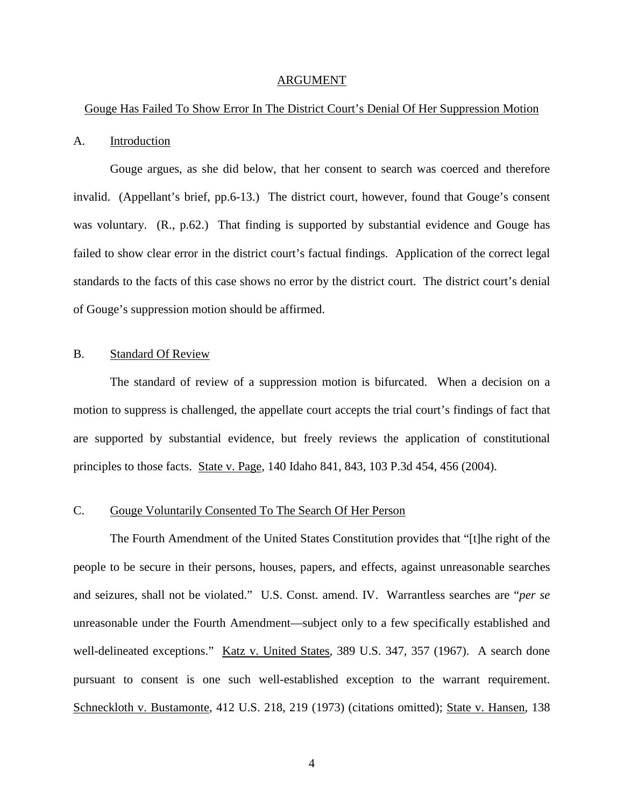#### ARGUMENT

#### Gouge Has Failed To Show Error In The District Court's Denial Of Her Suppression Motion

#### A. Introduction

Gouge argues, as she did below, that her consent to search was coerced and therefore invalid. (Appellant's brief, pp.6-13.) The district court, however, found that Gouge's consent was voluntary. (R., p.62.) That finding is supported by substantial evidence and Gouge has failed to show clear error in the district court's factual findings. Application of the correct legal standards to the facts of this case shows no error by the district court. The district court's denial of Gouge's suppression motion should be affirmed.

### B. Standard Of Review

The standard of review of a suppression motion is bifurcated. When a decision on a motion to suppress is challenged, the appellate court accepts the trial court's findings of fact that are supported by substantial evidence, but freely reviews the application of constitutional principles to those facts. State v. Page, 140 Idaho 841, 843, 103 P.3d 454, 456 (2004).

### C. Gouge Voluntarily Consented To The Search Of Her Person

The Fourth Amendment of the United States Constitution provides that "[t]he right of the people to be secure in their persons, houses, papers, and effects, against unreasonable searches and seizures, shall not be violated." U.S. Const. amend. IV. Warrantless searches are "*per se* unreasonable under the Fourth Amendment—subject only to a few specifically established and well-delineated exceptions." Katz v. United States, 389 U.S. 347, 357 (1967). A search done pursuant to consent is one such well-established exception to the warrant requirement. Schneckloth v. Bustamonte, 412 U.S. 218, 219 (1973) (citations omitted); State v. Hansen, 138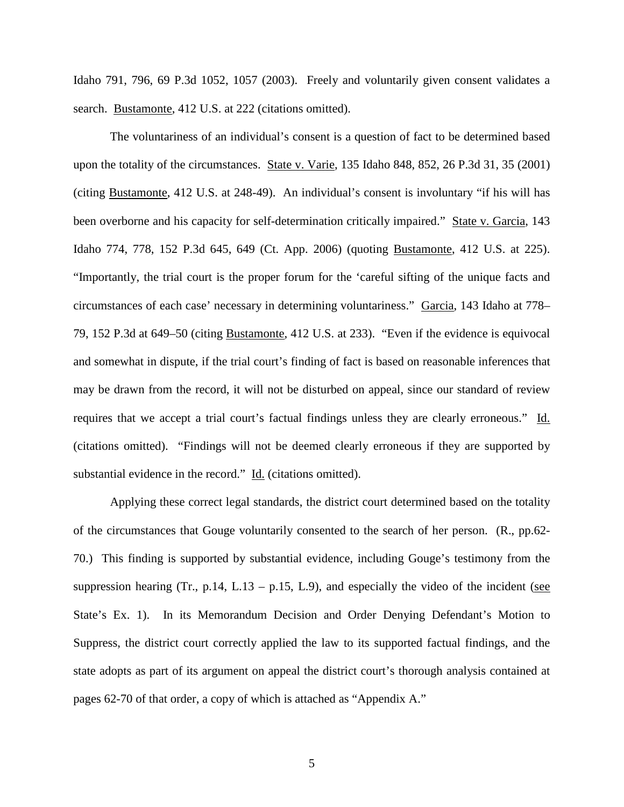Idaho 791, 796, 69 P.3d 1052, 1057 (2003). Freely and voluntarily given consent validates a search. Bustamonte, 412 U.S. at 222 (citations omitted).

The voluntariness of an individual's consent is a question of fact to be determined based upon the totality of the circumstances. State v. Varie, 135 Idaho 848, 852, 26 P.3d 31, 35 (2001) (citing Bustamonte, 412 U.S. at 248-49). An individual's consent is involuntary "if his will has been overborne and his capacity for self-determination critically impaired." State v. Garcia, 143 Idaho 774, 778, 152 P.3d 645, 649 (Ct. App. 2006) (quoting Bustamonte, 412 U.S. at 225). "Importantly, the trial court is the proper forum for the 'careful sifting of the unique facts and circumstances of each case' necessary in determining voluntariness." Garcia, 143 Idaho at 778– 79, 152 P.3d at 649–50 (citing Bustamonte, 412 U.S. at 233). "Even if the evidence is equivocal and somewhat in dispute, if the trial court's finding of fact is based on reasonable inferences that may be drawn from the record, it will not be disturbed on appeal, since our standard of review requires that we accept a trial court's factual findings unless they are clearly erroneous." Id. (citations omitted). "Findings will not be deemed clearly erroneous if they are supported by substantial evidence in the record." Id. (citations omitted).

Applying these correct legal standards, the district court determined based on the totality of the circumstances that Gouge voluntarily consented to the search of her person. (R., pp.62- 70.) This finding is supported by substantial evidence, including Gouge's testimony from the suppression hearing (Tr., p.14, L.13 – p.15, L.9), and especially the video of the incident (see State's Ex. 1). In its Memorandum Decision and Order Denying Defendant's Motion to Suppress, the district court correctly applied the law to its supported factual findings, and the state adopts as part of its argument on appeal the district court's thorough analysis contained at pages 62-70 of that order, a copy of which is attached as "Appendix A."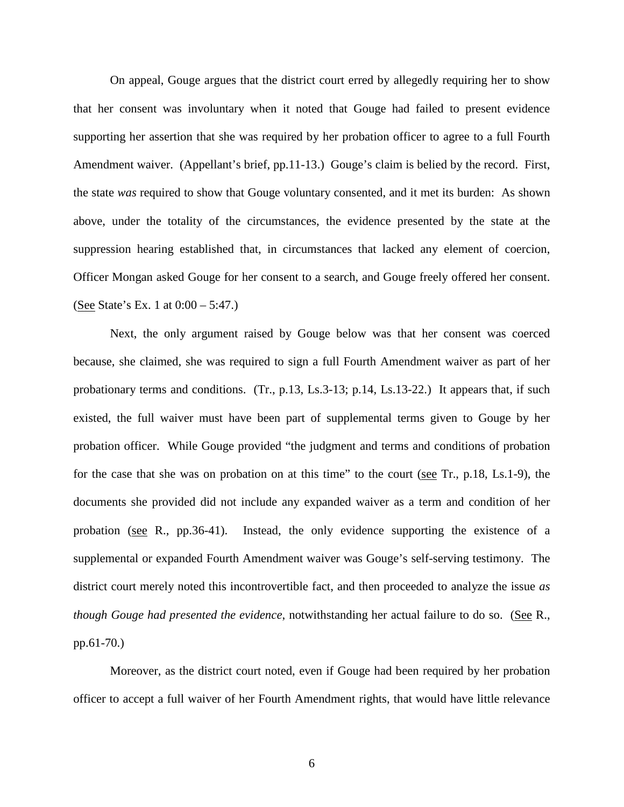On appeal, Gouge argues that the district court erred by allegedly requiring her to show that her consent was involuntary when it noted that Gouge had failed to present evidence supporting her assertion that she was required by her probation officer to agree to a full Fourth Amendment waiver. (Appellant's brief, pp.11-13.) Gouge's claim is belied by the record. First, the state *was* required to show that Gouge voluntary consented, and it met its burden: As shown above, under the totality of the circumstances, the evidence presented by the state at the suppression hearing established that, in circumstances that lacked any element of coercion, Officer Mongan asked Gouge for her consent to a search, and Gouge freely offered her consent. (See State's Ex. 1 at 0:00 – 5:47.)

Next, the only argument raised by Gouge below was that her consent was coerced because, she claimed, she was required to sign a full Fourth Amendment waiver as part of her probationary terms and conditions. (Tr., p.13, Ls.3-13; p.14, Ls.13-22.) It appears that, if such existed, the full waiver must have been part of supplemental terms given to Gouge by her probation officer. While Gouge provided "the judgment and terms and conditions of probation for the case that she was on probation on at this time" to the court (see Tr., p.18, Ls.1-9), the documents she provided did not include any expanded waiver as a term and condition of her probation (see R., pp.36-41). Instead, the only evidence supporting the existence of a supplemental or expanded Fourth Amendment waiver was Gouge's self-serving testimony. The district court merely noted this incontrovertible fact, and then proceeded to analyze the issue *as though Gouge had presented the evidence*, notwithstanding her actual failure to do so. (See R., pp.61-70.)

Moreover, as the district court noted, even if Gouge had been required by her probation officer to accept a full waiver of her Fourth Amendment rights, that would have little relevance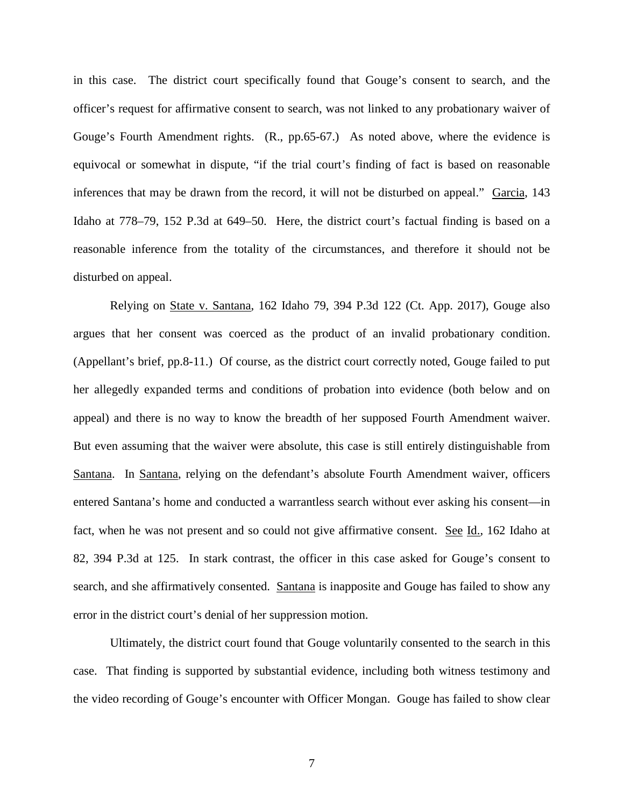in this case. The district court specifically found that Gouge's consent to search, and the officer's request for affirmative consent to search, was not linked to any probationary waiver of Gouge's Fourth Amendment rights. (R., pp.65-67.) As noted above, where the evidence is equivocal or somewhat in dispute, "if the trial court's finding of fact is based on reasonable inferences that may be drawn from the record, it will not be disturbed on appeal." Garcia, 143 Idaho at 778–79, 152 P.3d at 649–50. Here, the district court's factual finding is based on a reasonable inference from the totality of the circumstances, and therefore it should not be disturbed on appeal.

Relying on State v. Santana, 162 Idaho 79, 394 P.3d 122 (Ct. App. 2017), Gouge also argues that her consent was coerced as the product of an invalid probationary condition. (Appellant's brief, pp.8-11.) Of course, as the district court correctly noted, Gouge failed to put her allegedly expanded terms and conditions of probation into evidence (both below and on appeal) and there is no way to know the breadth of her supposed Fourth Amendment waiver. But even assuming that the waiver were absolute, this case is still entirely distinguishable from Santana. In Santana, relying on the defendant's absolute Fourth Amendment waiver, officers entered Santana's home and conducted a warrantless search without ever asking his consent—in fact, when he was not present and so could not give affirmative consent. See Id., 162 Idaho at 82, 394 P.3d at 125. In stark contrast, the officer in this case asked for Gouge's consent to search, and she affirmatively consented. Santana is inapposite and Gouge has failed to show any error in the district court's denial of her suppression motion.

Ultimately, the district court found that Gouge voluntarily consented to the search in this case. That finding is supported by substantial evidence, including both witness testimony and the video recording of Gouge's encounter with Officer Mongan. Gouge has failed to show clear